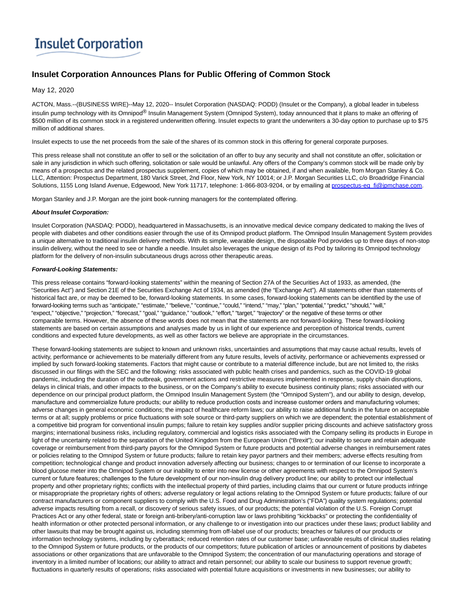# **Insulet Corporation**

# **Insulet Corporation Announces Plans for Public Offering of Common Stock**

## May 12, 2020

ACTON, Mass.--(BUSINESS WIRE)--May 12, 2020-- Insulet Corporation (NASDAQ: PODD) (Insulet or the Company), a global leader in tubeless insulin pump technology with its Omnipod® Insulin Management System (Omnipod System), today announced that it plans to make an offering of \$500 million of its common stock in a registered underwritten offering. Insulet expects to grant the underwriters a 30-day option to purchase up to \$75 million of additional shares.

Insulet expects to use the net proceeds from the sale of the shares of its common stock in this offering for general corporate purposes.

This press release shall not constitute an offer to sell or the solicitation of an offer to buy any security and shall not constitute an offer, solicitation or sale in any jurisdiction in which such offering, solicitation or sale would be unlawful. Any offers of the Company's common stock will be made only by means of a prospectus and the related prospectus supplement, copies of which may be obtained, if and when available, from Morgan Stanley & Co. LLC, Attention: Prospectus Department, 180 Varick Street, 2nd Floor, New York, NY 10014; or J.P. Morgan Securities LLC, c/o Broadridge Financial Solutions, 1155 Long Island Avenue, Edgewood, New York 11717, telephone: 1-866-803-9204, or by emailing at [prospectus-eq\\_fi@jpmchase.com.](mailto:prospectus-eq_fi@jpmchase.com)

Morgan Stanley and J.P. Morgan are the joint book-running managers for the contemplated offering.

### **About Insulet Corporation:**

Insulet Corporation (NASDAQ: PODD), headquartered in Massachusetts, is an innovative medical device company dedicated to making the lives of people with diabetes and other conditions easier through the use of its Omnipod product platform. The Omnipod Insulin Management System provides a unique alternative to traditional insulin delivery methods. With its simple, wearable design, the disposable Pod provides up to three days of non-stop insulin delivery, without the need to see or handle a needle. Insulet also leverages the unique design of its Pod by tailoring its Omnipod technology platform for the delivery of non-insulin subcutaneous drugs across other therapeutic areas.

### **Forward-Looking Statements:**

This press release contains "forward-looking statements" within the meaning of Section 27A of the Securities Act of 1933, as amended, (the "Securities Act") and Section 21E of the Securities Exchange Act of 1934, as amended (the "Exchange Act"). All statements other than statements of historical fact are, or may be deemed to be, forward-looking statements. In some cases, forward-looking statements can be identified by the use of forward-looking terms such as "anticipate," "estimate," "believe," "continue," "could," "intend," "may," "plan," "potential," "predict," "should," "will," "expect," "objective," "projection," "forecast," "goal," "guidance," "outlook," "effort," "target," "trajectory" or the negative of these terms or other comparable terms. However, the absence of these words does not mean that the statements are not forward-looking. These forward-looking statements are based on certain assumptions and analyses made by us in light of our experience and perception of historical trends, current conditions and expected future developments, as well as other factors we believe are appropriate in the circumstances.

These forward-looking statements are subject to known and unknown risks, uncertainties and assumptions that may cause actual results, levels of activity, performance or achievements to be materially different from any future results, levels of activity, performance or achievements expressed or implied by such forward-looking statements. Factors that might cause or contribute to a material difference include, but are not limited to, the risks discussed in our filings with the SEC and the following: risks associated with public health crises and pandemics, such as the COVID-19 global pandemic, including the duration of the outbreak, government actions and restrictive measures implemented in response, supply chain disruptions, delays in clinical trials, and other impacts to the business, or on the Company's ability to execute business continuity plans; risks associated with our dependence on our principal product platform, the Omnipod Insulin Management System (the "Omnipod System"), and our ability to design, develop, manufacture and commercialize future products; our ability to reduce production costs and increase customer orders and manufacturing volumes; adverse changes in general economic conditions; the impact of healthcare reform laws; our ability to raise additional funds in the future on acceptable terms or at all; supply problems or price fluctuations with sole source or third-party suppliers on which we are dependent; the potential establishment of a competitive bid program for conventional insulin pumps; failure to retain key supplies and/or supplier pricing discounts and achieve satisfactory gross margins; international business risks, including regulatory, commercial and logistics risks associated with the Company selling its products in Europe in light of the uncertainty related to the separation of the United Kingdom from the European Union ("Brexit"); our inability to secure and retain adequate coverage or reimbursement from third-party payors for the Omnipod System or future products and potential adverse changes in reimbursement rates or policies relating to the Omnipod System or future products; failure to retain key payor partners and their members; adverse effects resulting from competition; technological change and product innovation adversely affecting our business; changes to or termination of our license to incorporate a blood glucose meter into the Omnipod System or our inability to enter into new license or other agreements with respect to the Omnipod System's current or future features; challenges to the future development of our non-insulin drug delivery product line; our ability to protect our intellectual property and other proprietary rights; conflicts with the intellectual property of third parties, including claims that our current or future products infringe or misappropriate the proprietary rights of others; adverse regulatory or legal actions relating to the Omnipod System or future products; failure of our contract manufacturers or component suppliers to comply with the U.S. Food and Drug Administration's ("FDA") quality system regulations; potential adverse impacts resulting from a recall, or discovery of serious safety issues, of our products; the potential violation of the U.S. Foreign Corrupt Practices Act or any other federal, state or foreign anti-bribery/anti-corruption law or laws prohibiting "kickbacks" or protecting the confidentiality of health information or other protected personal information, or any challenge to or investigation into our practices under these laws; product liability and other lawsuits that may be brought against us, including stemming from off-label use of our products; breaches or failures of our products or information technology systems, including by cyberattack; reduced retention rates of our customer base; unfavorable results of clinical studies relating to the Omnipod System or future products, or the products of our competitors; future publication of articles or announcement of positions by diabetes associations or other organizations that are unfavorable to the Omnipod System; the concentration of our manufacturing operations and storage of inventory in a limited number of locations; our ability to attract and retain personnel; our ability to scale our business to support revenue growth; fluctuations in quarterly results of operations; risks associated with potential future acquisitions or investments in new businesses; our ability to